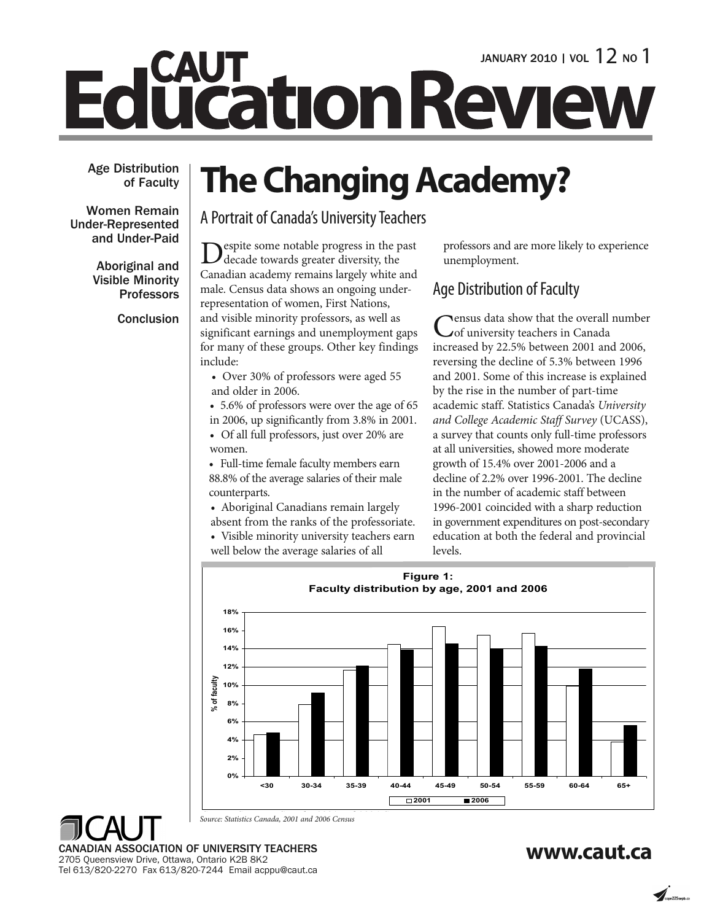# **CAUT LICATION REVIEW**

**Age Distribution of Faculty**

**Women Remain Under-Represented and Under-Paid**

> **Aboriginal and Visible Minority Professors**

> > **Conclusion**

## **The Changing Academy?**

A Portrait of Canada's University Teachers

espite some notable progress in the past decade towards greater diversity, the Canadian academy remains largely white and male. Census data shows an ongoing underrepresentation of women, First Nations, and visible minority professors, as well as significant earnings and unemployment gaps for many of these groups. Other key findings include:

• Over 30% of professors were aged 55 and older in 2006.

• 5.6% of professors were over the age of 65

in 2006, up significantly from 3.8% in 2001. • Of all full professors, just over 20% are women.

• Full-time female faculty members earn 88.8% of the average salaries of their male counterparts.

• Aboriginal Canadians remain largely absent from the ranks of the professoriate. • Visible minority university teachers earn

well below the average salaries of all

professors and are more likely to experience unemployment.

### Age Distribution of Faculty

Census data show that the overall number<br>
of university teachers in Canada increased by 22.5% between 2001 and 2006, reversing the decline of 5.3% between 1996 and 2001. Some of this increase is explained by the rise in the number of part-time academic staff. Statistics Canada's *University and College Academic Staff Survey* (UCASS), a survey that counts only full-time professors at all universities, showed more moderate growth of 15.4% over 2001-2006 and a decline of 2.2% over 1996-2001. The decline in the number of academic staff between 1996-2001 coincided with a sharp reduction in government expenditures on post-secondary education at both the federal and provincial levels.



*S S C d 2001 d 2006 C Source: Statistics Canada, 2001 and 2006 Census*

**www.caut.ca CANADIAN ASSOCIATION OF UNIVERSITY TEACHERS** 2705 Queensview Drive, Ottawa, Ontario K2B 8K2 Tel 613/820-2270 Fax 613/820-7244 Email acppu@caut.ca

 $\sum_{\text{cone}$  225 venture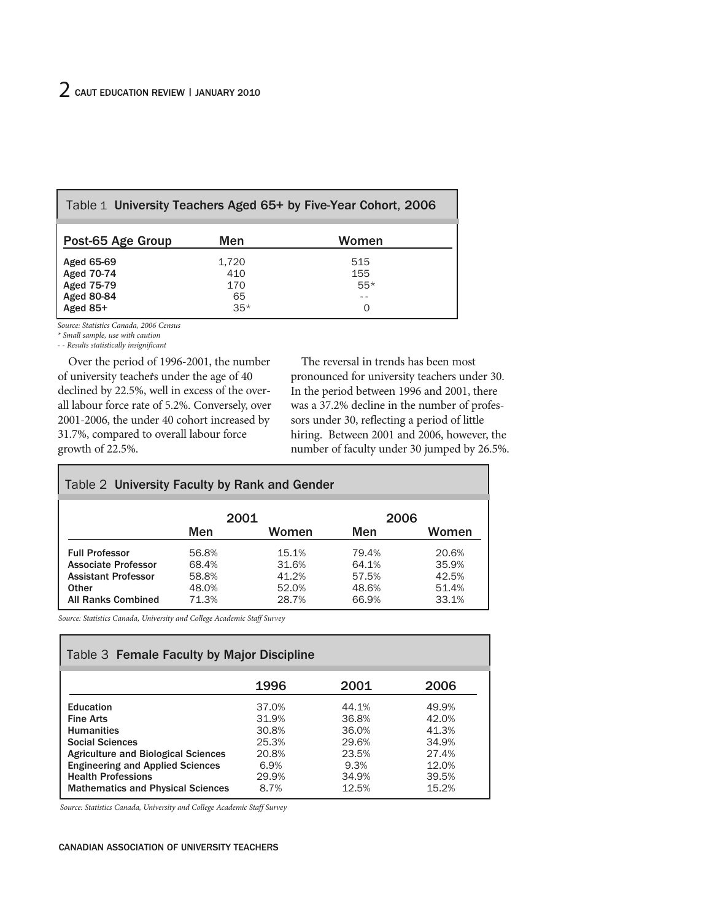| Table 1 University Teachers Aged 65+ by Five-Year Cohort, 2006            |                                    |                                   |  |
|---------------------------------------------------------------------------|------------------------------------|-----------------------------------|--|
| Post-65 Age Group                                                         | Men                                | Women                             |  |
| Aged 65-69<br>Aged 70-74<br>Aged 75-79<br><b>Aged 80-84</b><br>Aged $85+$ | 1.720<br>410<br>170<br>65<br>$35*$ | 515<br>155<br>$55*$<br>$- -$<br>O |  |

*Source: Statistics Canada, 2006 Census*

*\* Small sample, use with caution*

*- - Results statistically insignificant*

Over the period of 1996-2001, the number of university teachers under the age of 40 declined by 22.5%, well in excess of the overall labour force rate of 5.2%. Conversely, over 2001-2006, the under 40 cohort increased by 31.7%, compared to overall labour force growth of 22.5%.

The reversal in trends has been most pronounced for university teachers under 30. In the period between 1996 and 2001, there was a 37.2% decline in the number of professors under 30, reflecting a period of little hiring. Between 2001 and 2006, however, the number of faculty under 30 jumped by 26.5%.

#### Table 2 **University Faculty by Rank and Gender**

|                            | 2001  |       | 2006  |       |
|----------------------------|-------|-------|-------|-------|
|                            | Men   | Women | Men   | Women |
| <b>Full Professor</b>      | 56.8% | 15.1% | 79.4% | 20.6% |
| <b>Associate Professor</b> | 68.4% | 31.6% | 64.1% | 35.9% |
| <b>Assistant Professor</b> | 58.8% | 41.2% | 57.5% | 42.5% |
| <b>Other</b>               | 48.0% | 52.0% | 48.6% | 51.4% |
| <b>All Ranks Combined</b>  | 71.3% | 28.7% | 66.9% | 33.1% |

*Source: Statistics Canada, University and College Academic Staff Survey*

| Table 3 Female Faculty by Major Discipline |       |       |       |  |
|--------------------------------------------|-------|-------|-------|--|
|                                            | 1996  | 2001  | 2006  |  |
| <b>Education</b>                           | 37.0% | 44.1% | 49.9% |  |
| <b>Fine Arts</b>                           | 31.9% | 36.8% | 42.0% |  |
| <b>Humanities</b>                          | 30.8% | 36.0% | 41.3% |  |
| <b>Social Sciences</b>                     | 25.3% | 29.6% | 34.9% |  |
| <b>Agriculture and Biological Sciences</b> | 20.8% | 23.5% | 27.4% |  |
| <b>Engineering and Applied Sciences</b>    | 6.9%  | 9.3%  | 12.0% |  |
| <b>Health Professions</b>                  | 29.9% | 34.9% | 39.5% |  |
| <b>Mathematics and Physical Sciences</b>   | 8.7%  | 12.5% | 15.2% |  |

*Source: Statistics Canada, University and College Academic Staff Survey*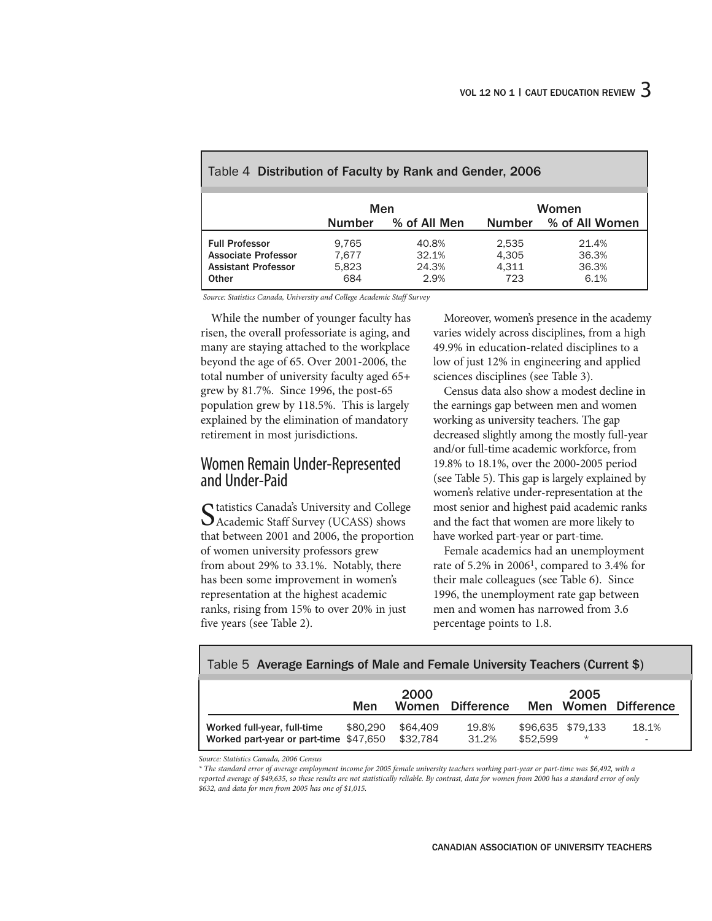|                                                                                            | Men                            |                                 |                                | Women                           |
|--------------------------------------------------------------------------------------------|--------------------------------|---------------------------------|--------------------------------|---------------------------------|
|                                                                                            | <b>Number</b>                  | % of All Men                    | <b>Number</b>                  | % of All Women                  |
| <b>Full Professor</b><br><b>Associate Professor</b><br><b>Assistant Professor</b><br>Other | 9.765<br>7.677<br>5.823<br>684 | 40.8%<br>32.1%<br>24.3%<br>2.9% | 2,535<br>4,305<br>4,311<br>723 | 21.4%<br>36.3%<br>36.3%<br>6.1% |

#### Table 4 **Distribution of Faculty by Rank and Gender, 2006**

*Source: Statistics Canada, University and College Academic Staff Survey*

While the number of younger faculty has risen, the overall professoriate is aging, and many are staying attached to the workplace beyond the age of 65. Over 2001-2006, the total number of university faculty aged 65+ grew by 81.7%. Since 1996, the post-65 population grew by 118.5%. This is largely explained by the elimination of mandatory retirement in most jurisdictions.

#### Women Remain Under-Represented and Under-Paid

Statistics Canada's University and College<br>
SAcademic Staff Survey (UCASS) shows that between 2001 and 2006, the proportion of women university professors grew from about 29% to 33.1%. Notably, there has been some improvement in women's representation at the highest academic ranks, rising from 15% to over 20% in just five years (see Table 2).

Moreover, women's presence in the academy varies widely across disciplines, from a high 49.9% in education-related disciplines to a low of just 12% in engineering and applied sciences disciplines (see Table 3).

Census data also show a modest decline in the earnings gap between men and women working as university teachers. The gap decreased slightly among the mostly full-year and/or full-time academic workforce, from 19.8% to 18.1%, over the 2000-2005 period (see Table 5). This gap is largely explained by women's relative under-representation at the most senior and highest paid academic ranks and the fact that women are more likely to have worked part-year or part-time.

Female academics had an unemployment rate of 5.2% in 20061, compared to 3.4% for their male colleagues (see Table 6). Since 1996, the unemployment rate gap between men and women has narrowed from 3.6 percentage points to 1.8.

| Table 5 Average Earnings of Male and Female University Teachers (Current \$) |          |          |                  |  |                   |                      |
|------------------------------------------------------------------------------|----------|----------|------------------|--|-------------------|----------------------|
|                                                                              |          | 2000     |                  |  | 2005              |                      |
|                                                                              | Men      |          | Women Difference |  |                   | Men Women Difference |
| Worked full-vear, full-time                                                  | \$80.290 | \$64.409 | 19.8%            |  | \$96.635 \$79.133 | 18.1%                |

*Source: Statistics Canada, 2006 Census*

*\* The standard error of average employment income for 2005 female university teachers working part-year or part-time was \$6,492, with a reported average of \$49,635, so these results are not statistically reliable. By contrast, data for women from 2000 has a standard error of only \$632, and data for men from 2005 has one of \$1,015.*

**Worked part-year or part-time** \$47,650 \$32,784 31.2% \$52,599 \*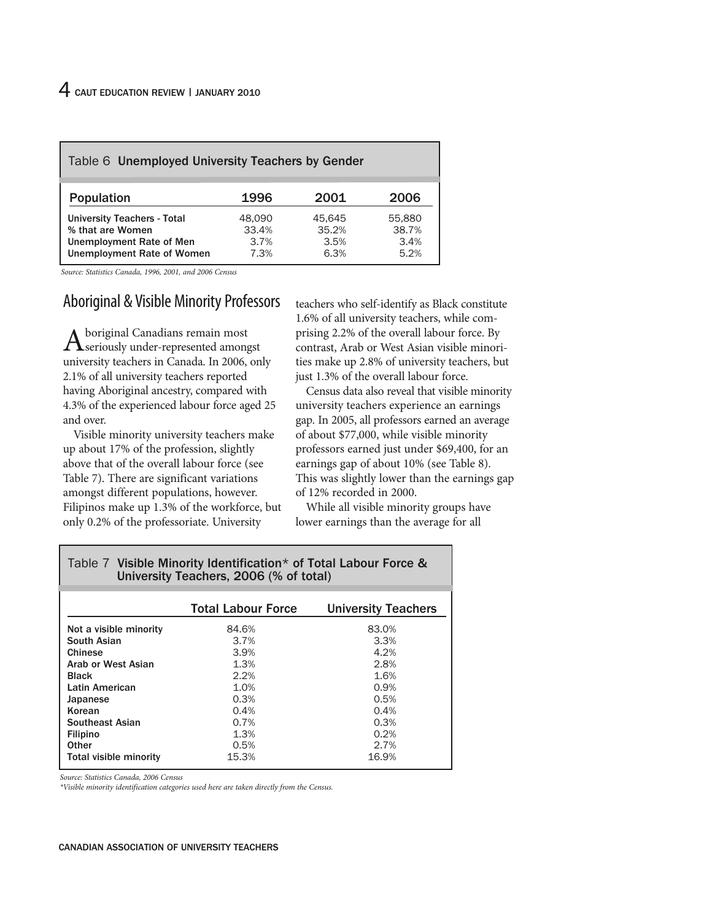| Table 6 Unemployed University Teachers by Gender                                                                        |                                 |                                 |                                 |
|-------------------------------------------------------------------------------------------------------------------------|---------------------------------|---------------------------------|---------------------------------|
| Population                                                                                                              | 1996                            | 2001                            | 2006                            |
| <b>University Teachers - Total</b><br>% that are Women<br>Unemployment Rate of Men<br><b>Unemployment Rate of Women</b> | 48.090<br>33.4%<br>3.7%<br>7.3% | 45.645<br>35.2%<br>3.5%<br>6.3% | 55,880<br>38.7%<br>3.4%<br>5.2% |

*Source: Statistics Canada, 1996, 2001, and 2006 Census*

#### Aboriginal & Visible Minority Professors

Aboriginal Canadians remain most seriously under-represented amongst university teachers in Canada. In 2006, only 2.1% of all university teachers reported having Aboriginal ancestry, compared with 4.3% of the experienced labour force aged 25 and over.

Visible minority university teachers make up about 17% of the profession, slightly above that of the overall labour force (see Table 7). There are significant variations amongst different populations, however. Filipinos make up 1.3% of the workforce, but only 0.2% of the professoriate. University

teachers who self-identify as Black constitute 1.6% of all university teachers, while comprising 2.2% of the overall labour force. By contrast, Arab or West Asian visible minorities make up 2.8% of university teachers, but just 1.3% of the overall labour force.

Census data also reveal that visible minority university teachers experience an earnings gap. In 2005, all professors earned an average of about \$77,000, while visible minority professors earned just under \$69,400, for an earnings gap of about 10% (see Table 8). This was slightly lower than the earnings gap of 12% recorded in 2000.

While all visible minority groups have lower earnings than the average for all

| University reachers, 2000 (70 UP total) |                           |                            |  |  |
|-----------------------------------------|---------------------------|----------------------------|--|--|
|                                         |                           |                            |  |  |
|                                         | <b>Total Labour Force</b> | <b>University Teachers</b> |  |  |
| Not a visible minority                  | 84.6%                     | 83.0%                      |  |  |
| South Asian                             | 3.7%                      | 3.3%                       |  |  |
| Chinese                                 | 3.9%                      | 4.2%                       |  |  |
| Arab or West Asian                      | 1.3%                      | 2.8%                       |  |  |
| <b>Black</b>                            | 2.2%                      | 1.6%                       |  |  |
| Latin American                          | 1.0%                      | 0.9%                       |  |  |
| Japanese                                | 0.3%                      | 0.5%                       |  |  |
| Korean                                  | 0.4%                      | 0.4%                       |  |  |
| <b>Southeast Asian</b>                  | 0.7%                      | 0.3%                       |  |  |
| <b>Filipino</b>                         | 1.3%                      | 0.2%                       |  |  |
| Other                                   | 0.5%                      | 2.7%                       |  |  |
| Total visible minority                  | 15.3%                     | 16.9%                      |  |  |

Table 7 **Visible Minority Identification\* of Total Labour Force & University Teachers, 2006 (% of total)**

*Source: Statistics Canada, 2006 Census*

*\*Visible minority identification categories used here are taken directly from the Census.*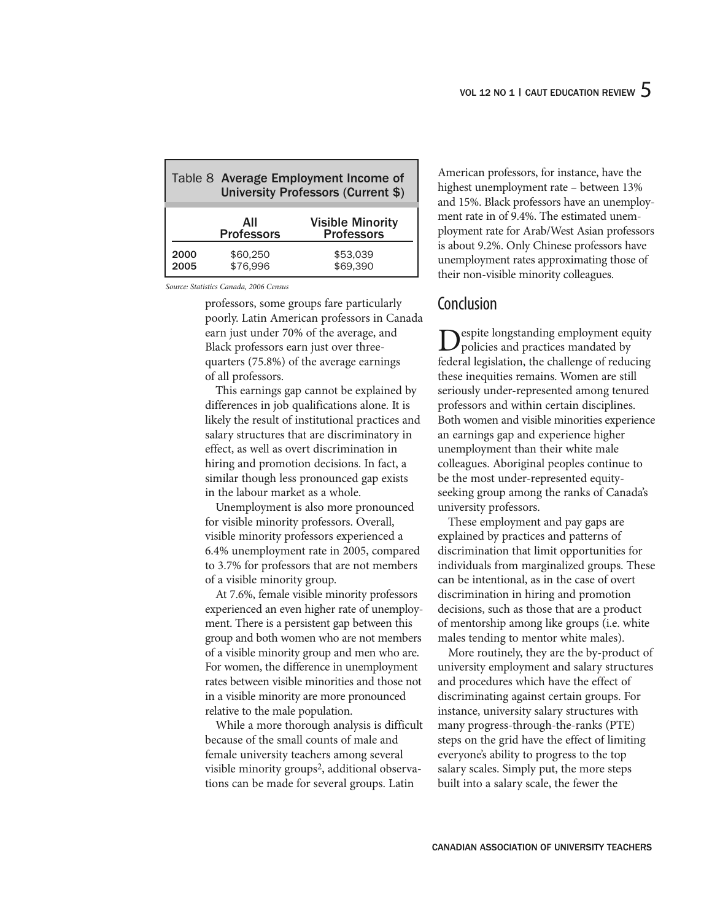|              | Table 8 Average Employment Income of<br><b>University Professors (Current \$)</b> |                                              |  |
|--------------|-----------------------------------------------------------------------------------|----------------------------------------------|--|
|              | ΑII<br><b>Professors</b>                                                          | <b>Visible Minority</b><br><b>Professors</b> |  |
| 2000<br>2005 | \$60,250<br>\$76,996                                                              | \$53,039<br>\$69.390                         |  |

*Source: Statistics Canada, 2006 Census*

professors, some groups fare particularly poorly. Latin American professors in Canada earn just under 70% of the average, and Black professors earn just over threequarters (75.8%) of the average earnings of all professors.

This earnings gap cannot be explained by differences in job qualifications alone. It is likely the result of institutional practices and salary structures that are discriminatory in effect, as well as overt discrimination in hiring and promotion decisions. In fact, a similar though less pronounced gap exists in the labour market as a whole.

Unemployment is also more pronounced for visible minority professors. Overall, visible minority professors experienced a 6.4% unemployment rate in 2005, compared to 3.7% for professors that are not members of a visible minority group.

At 7.6%, female visible minority professors experienced an even higher rate of unemployment. There is a persistent gap between this group and both women who are not members of a visible minority group and men who are. For women, the difference in unemployment rates between visible minorities and those not in a visible minority are more pronounced relative to the male population.

While a more thorough analysis is difficult because of the small counts of male and female university teachers among several visible minority groups<sup>2</sup>, additional observations can be made for several groups. Latin

American professors, for instance, have the highest unemployment rate – between 13% and 15%. Black professors have an unemployment rate in of 9.4%. The estimated unemployment rate for Arab/West Asian professors is about 9.2%. Only Chinese professors have unemployment rates approximating those of their non-visible minority colleagues.

#### Conclusion

**D**espite longstanding employment equity<br>policies and practices mandated by federal legislation, the challenge of reducing these inequities remains. Women are still seriously under-represented among tenured professors and within certain disciplines. Both women and visible minorities experience an earnings gap and experience higher unemployment than their white male colleagues. Aboriginal peoples continue to be the most under-represented equityseeking group among the ranks of Canada's university professors.

These employment and pay gaps are explained by practices and patterns of discrimination that limit opportunities for individuals from marginalized groups. These can be intentional, as in the case of overt discrimination in hiring and promotion decisions, such as those that are a product of mentorship among like groups (i.e. white males tending to mentor white males).

More routinely, they are the by-product of university employment and salary structures and procedures which have the effect of discriminating against certain groups. For instance, university salary structures with many progress-through-the-ranks (PTE) steps on the grid have the effect of limiting everyone's ability to progress to the top salary scales. Simply put, the more steps built into a salary scale, the fewer the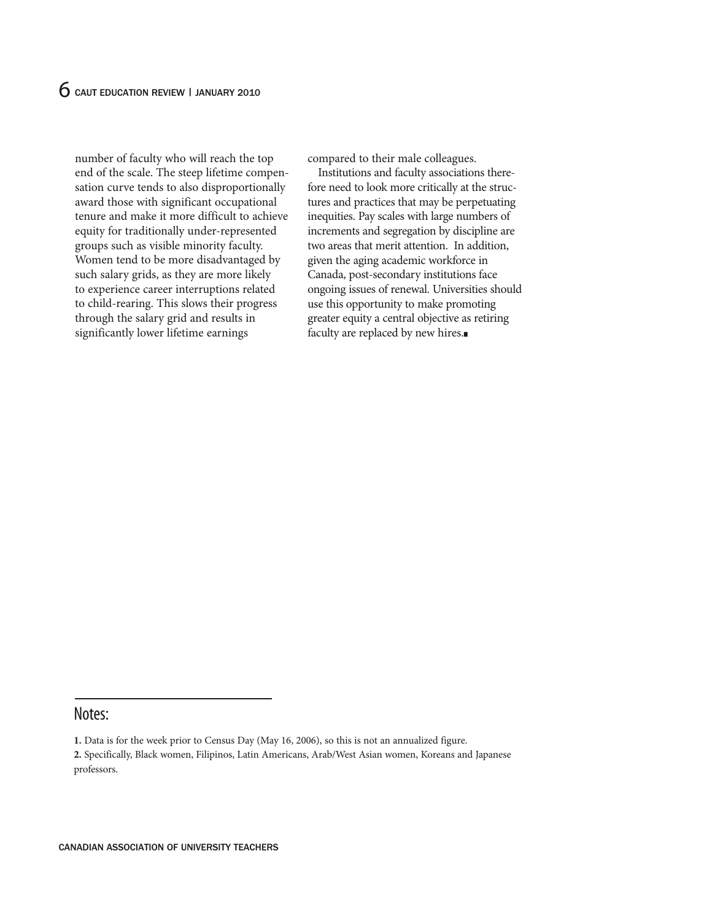number of faculty who will reach the top end of the scale. The steep lifetime compensation curve tends to also disproportionally award those with significant occupational tenure and make it more difficult to achieve equity for traditionally under-represented groups such as visible minority faculty. Women tend to be more disadvantaged by such salary grids, as they are more likely to experience career interruptions related to child-rearing. This slows their progress through the salary grid and results in significantly lower lifetime earnings

compared to their male colleagues.

Institutions and faculty associations therefore need to look more critically at the structures and practices that may be perpetuating inequities. Pay scales with large numbers of increments and segregation by discipline are two areas that merit attention. In addition, given the aging academic workforce in Canada, post-secondary institutions face ongoing issues of renewal. Universities should use this opportunity to make promoting greater equity a central objective as retiring faculty are replaced by new hires.

#### Notes:

**<sup>1.</sup>** Data is for the week prior to Census Day (May 16, 2006), so this is not an annualized figure.

**<sup>2.</sup>** Specifically, Black women, Filipinos, Latin Americans, Arab/West Asian women, Koreans and Japanese professors.